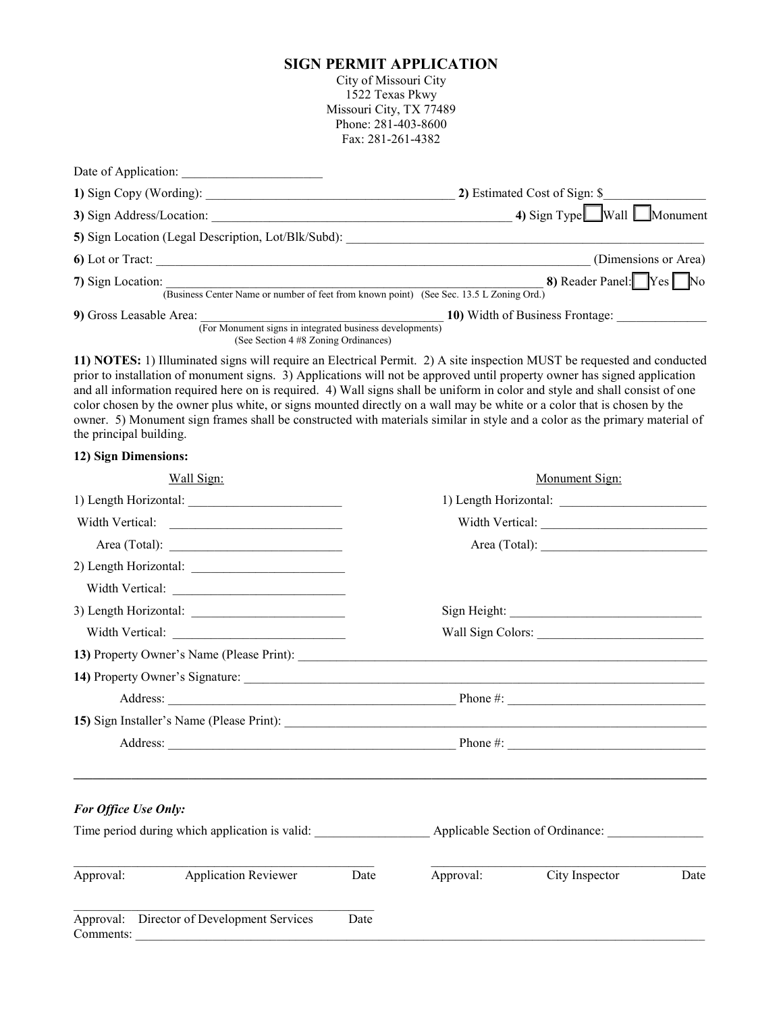## **SIGN PERMIT APPLICATION**

City of Missouri City 1522 Texas Pkwy Missouri City, TX 77489 Phone: 281-403-8600 Fax: 281-261-4382

| Date of Application:                                                                                         |                                          |
|--------------------------------------------------------------------------------------------------------------|------------------------------------------|
| 1) Sign Copy (Wording):                                                                                      | 2) Estimated Cost of Sign: \$            |
| 3) Sign Address/Location:                                                                                    | 4) Sign Type $\Box$ Wall $\Box$ Monument |
| 5) Sign Location (Legal Description, Lot/Blk/Subd):                                                          |                                          |
| 6) Lot or Tract:                                                                                             | (Dimensions or Area)                     |
| 7) Sign Location:<br>(Business Center Name or number of feet from known point) (See Sec. 13.5 L Zoning Ord.) | 8) Reader Panel: Yes No                  |
| 9) Gross Leasable Area:<br>(For Monument signs in integrated business developments)                          | 10) Width of Business Frontage:          |
| (See Section 4 #8 Zoning Ordinances)                                                                         |                                          |

**11) NOTES:** 1) Illuminated signs will require an Electrical Permit. 2) A site inspection MUST be requested and conducted prior to installation of monument signs. 3) Applications will not be approved until property owner has signed application and all information required here on is required. 4) Wall signs shall be uniform in color and style and shall consist of one color chosen by the owner plus white, or signs mounted directly on a wall may be white or a color that is chosen by the owner. 5) Monument sign frames shall be constructed with materials similar in style and a color as the primary material of the principal building.

## **12) Sign Dimensions:**

| Wall Sign:                                              |      |           | Monument Sign: |      |  |
|---------------------------------------------------------|------|-----------|----------------|------|--|
|                                                         |      |           |                |      |  |
| Width Vertical:                                         |      |           |                |      |  |
|                                                         |      |           |                |      |  |
|                                                         |      |           |                |      |  |
| Width Vertical:                                         |      |           |                |      |  |
|                                                         |      |           |                |      |  |
|                                                         |      |           |                |      |  |
|                                                         |      |           |                |      |  |
|                                                         |      |           |                |      |  |
|                                                         |      |           |                |      |  |
|                                                         |      |           |                |      |  |
|                                                         |      |           |                |      |  |
| For Office Use Only:                                    |      |           |                |      |  |
|                                                         |      |           |                |      |  |
| <b>Application Reviewer</b><br>Approval:                | Date | Approval: | City Inspector | Date |  |
| Approval: Director of Development Services<br>Comments: | Date |           |                |      |  |